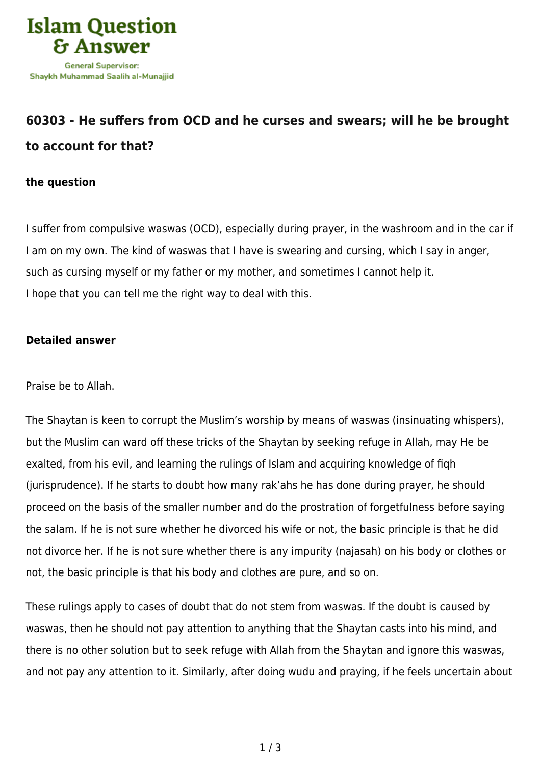

## **[60303 - He suffers from OCD and he curses and swears; will he be brought](https://islamqa.com/en/answers/60303/he-suffers-from-ocd-and-he-curses-and-swears-will-he-be-brought-to-account-for-that) [to account for that?](https://islamqa.com/en/answers/60303/he-suffers-from-ocd-and-he-curses-and-swears-will-he-be-brought-to-account-for-that)**

## **the question**

I suffer from compulsive waswas (OCD), especially during prayer, in the washroom and in the car if I am on my own. The kind of waswas that I have is swearing and cursing, which I say in anger, such as cursing myself or my father or my mother, and sometimes I cannot help it. I hope that you can tell me the right way to deal with this.

## **Detailed answer**

Praise be to Allah.

The Shaytan is keen to corrupt the Muslim's worship by means of waswas (insinuating whispers), but the Muslim can ward off these tricks of the Shaytan by seeking refuge in Allah, may He be exalted, from his evil, and learning the rulings of Islam and acquiring knowledge of fiqh (jurisprudence). If he starts to doubt how many rak'ahs he has done during prayer, he should proceed on the basis of the smaller number and do the prostration of forgetfulness before saying the salam. If he is not sure whether he divorced his wife or not, the basic principle is that he did not divorce her. If he is not sure whether there is any impurity (najasah) on his body or clothes or not, the basic principle is that his body and clothes are pure, and so on.

These rulings apply to cases of doubt that do not stem from waswas. If the doubt is caused by waswas, then he should not pay attention to anything that the Shaytan casts into his mind, and there is no other solution but to seek refuge with Allah from the Shaytan and ignore this waswas, and not pay any attention to it. Similarly, after doing wudu and praying, if he feels uncertain about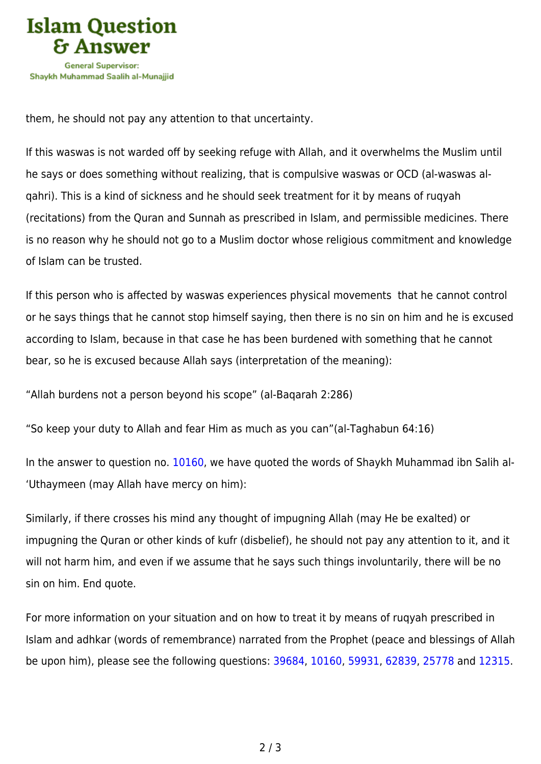

them, he should not pay any attention to that uncertainty.

If this waswas is not warded off by seeking refuge with Allah, and it overwhelms the Muslim until he says or does something without realizing, that is compulsive waswas or OCD (al-waswas alqahri). This is a kind of sickness and he should seek treatment for it by means of ruqyah (recitations) from the Quran and Sunnah as prescribed in Islam, and permissible medicines. There is no reason why he should not go to a Muslim doctor whose religious commitment and knowledge of Islam can be trusted.

If this person who is affected by waswas experiences physical movements that he cannot control or he says things that he cannot stop himself saying, then there is no sin on him and he is excused according to Islam, because in that case he has been burdened with something that he cannot bear, so he is excused because Allah says (interpretation of the meaning):

"Allah burdens not a person beyond his scope" (al-Baqarah 2:286)

"So keep your duty to Allah and fear Him as much as you can"(al-Taghabun 64:16)

In the answer to question no. [10160](https://islamqa.com/en/answers/10160), we have quoted the words of Shaykh Muhammad ibn Salih al- 'Uthaymeen (may Allah have mercy on him):

Similarly, if there crosses his mind any thought of impugning Allah (may He be exalted) or impugning the Quran or other kinds of kufr (disbelief), he should not pay any attention to it, and it will not harm him, and even if we assume that he says such things involuntarily, there will be no sin on him. End quote.

For more information on your situation and on how to treat it by means of ruqyah prescribed in Islam and adhkar (words of remembrance) narrated from the Prophet (peace and blessings of Allah be upon him), please see the following questions: [39684](https://islamqa.com/en/answers/39684), [10160](https://islamqa.com/en/answers/10160), [59931,](https://islamqa.com/en/answers/59931) [62839,](https://islamqa.com/en/answers/62839) [25778](https://islamqa.com/en/answers/25778) and [12315](https://islamqa.com/en/answers/12315).